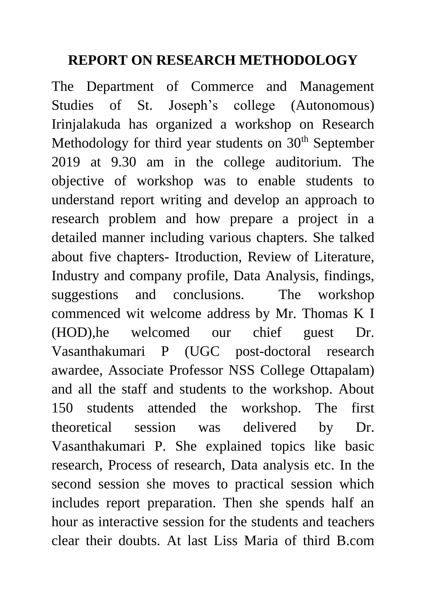## **REPORT ON RESEARCH METHODOLOGY**

The Department of Commerce and Management Studies of St. Joseph's college (Autonomous) Irinjalakuda has organized a workshop on Research Methodology for third year students on 30<sup>th</sup> September 2019 at 9.30 am in the college auditorium. The objective of workshop was to enable students to understand report writing and develop an approach to research problem and how prepare a project in a detailed manner including various chapters. She talked about five chapters- Itroduction, Review of Literature, Industry and company profile, Data Analysis, findings, suggestions and conclusions. The workshop commenced wit welcome address by Mr. Thomas K I (HOD),he welcomed our chief guest Dr. Vasanthakumari P (UGC post-doctoral research awardee, Associate Professor NSS College Ottapalam) and all the staff and students to the workshop. About 150 students attended the workshop. The first theoretical session was delivered by Dr. Vasanthakumari P. She explained topics like basic research, Process of research, Data analysis etc. In the second session she moves to practical session which includes report preparation. Then she spends half an hour as interactive session for the students and teachers clear their doubts. At last Liss Maria of third B.com